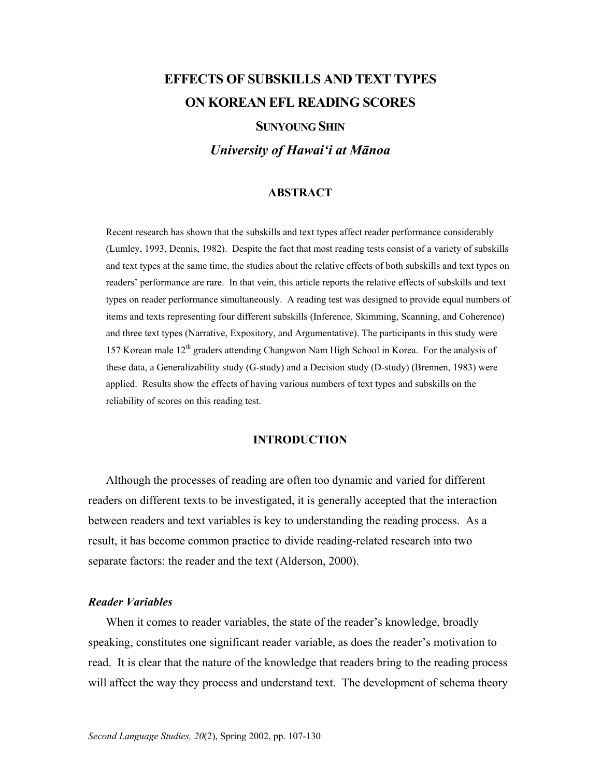# **EFFECTS OF SUBSKILLS AND TEXT TYPES ON KOREAN EFL READING SCORES**

## **SUNYOUNG SHIN**

*University of Hawai'i at Mānoa* 

#### **ABSTRACT**

Recent research has shown that the subskills and text types affect reader performance considerably (Lumley, 1993, Dennis, 1982). Despite the fact that most reading tests consist of a variety of subskills and text types at the same time, the studies about the relative effects of both subskills and text types on readers' performance are rare. In that vein, this article reports the relative effects of subskills and text types on reader performance simultaneously. A reading test was designed to provide equal numbers of items and texts representing four different subskills (Inference, Skimming, Scanning, and Coherence) and three text types (Narrative, Expository, and Argumentative). The participants in this study were 157 Korean male 12th graders attending Changwon Nam High School in Korea. For the analysis of these data, a Generalizability study (G-study) and a Decision study (D-study) (Brennen, 1983) were applied. Results show the effects of having various numbers of text types and subskills on the reliability of scores on this reading test.

### **INTRODUCTION**

Although the processes of reading are often too dynamic and varied for different readers on different texts to be investigated, it is generally accepted that the interaction between readers and text variables is key to understanding the reading process. As a result, it has become common practice to divide reading-related research into two separate factors: the reader and the text (Alderson, 2000).

#### *Reader Variables*

When it comes to reader variables, the state of the reader's knowledge, broadly speaking, constitutes one significant reader variable, as does the reader's motivation to read. It is clear that the nature of the knowledge that readers bring to the reading process will affect the way they process and understand text. The development of schema theory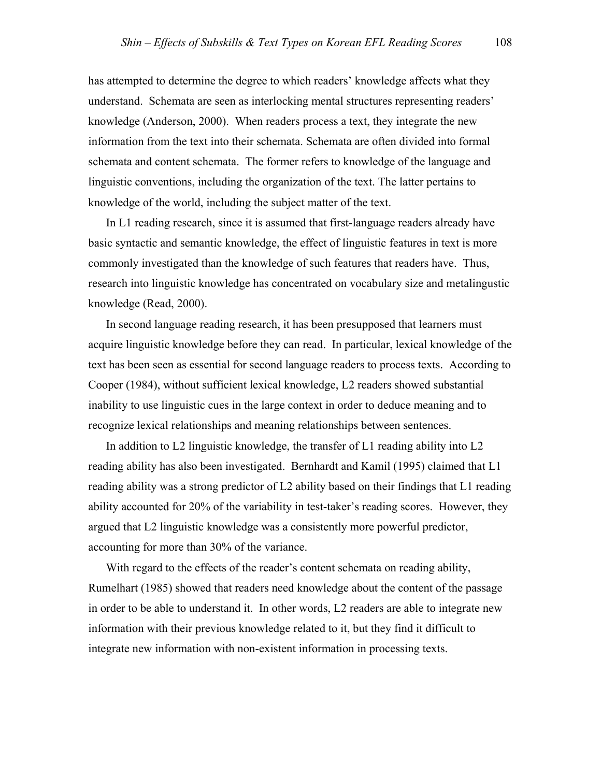has attempted to determine the degree to which readers' knowledge affects what they understand. Schemata are seen as interlocking mental structures representing readers' knowledge (Anderson, 2000). When readers process a text, they integrate the new information from the text into their schemata. Schemata are often divided into formal schemata and content schemata. The former refers to knowledge of the language and linguistic conventions, including the organization of the text. The latter pertains to knowledge of the world, including the subject matter of the text.

In L1 reading research, since it is assumed that first-language readers already have basic syntactic and semantic knowledge, the effect of linguistic features in text is more commonly investigated than the knowledge of such features that readers have. Thus, research into linguistic knowledge has concentrated on vocabulary size and metalingustic knowledge (Read, 2000).

In second language reading research, it has been presupposed that learners must acquire linguistic knowledge before they can read. In particular, lexical knowledge of the text has been seen as essential for second language readers to process texts. According to Cooper (1984), without sufficient lexical knowledge, L2 readers showed substantial inability to use linguistic cues in the large context in order to deduce meaning and to recognize lexical relationships and meaning relationships between sentences.

In addition to L2 linguistic knowledge, the transfer of L1 reading ability into L2 reading ability has also been investigated. Bernhardt and Kamil (1995) claimed that L1 reading ability was a strong predictor of L2 ability based on their findings that L1 reading ability accounted for 20% of the variability in test-taker's reading scores. However, they argued that L2 linguistic knowledge was a consistently more powerful predictor, accounting for more than 30% of the variance.

With regard to the effects of the reader's content schemata on reading ability, Rumelhart (1985) showed that readers need knowledge about the content of the passage in order to be able to understand it. In other words, L2 readers are able to integrate new information with their previous knowledge related to it, but they find it difficult to integrate new information with non-existent information in processing texts.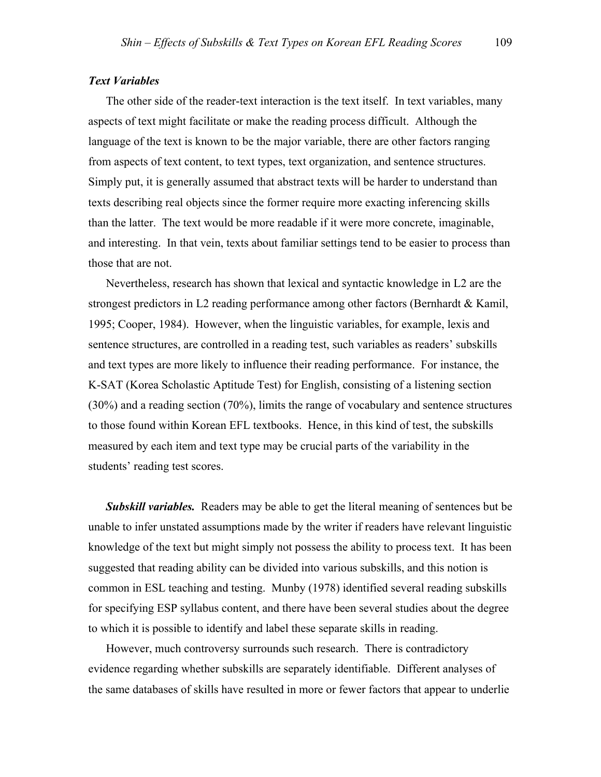#### *Text Variables*

The other side of the reader-text interaction is the text itself. In text variables, many aspects of text might facilitate or make the reading process difficult. Although the language of the text is known to be the major variable, there are other factors ranging from aspects of text content, to text types, text organization, and sentence structures. Simply put, it is generally assumed that abstract texts will be harder to understand than texts describing real objects since the former require more exacting inferencing skills than the latter. The text would be more readable if it were more concrete, imaginable, and interesting. In that vein, texts about familiar settings tend to be easier to process than those that are not.

Nevertheless, research has shown that lexical and syntactic knowledge in L2 are the strongest predictors in L2 reading performance among other factors (Bernhardt & Kamil, 1995; Cooper, 1984). However, when the linguistic variables, for example, lexis and sentence structures, are controlled in a reading test, such variables as readers' subskills and text types are more likely to influence their reading performance. For instance, the K-SAT (Korea Scholastic Aptitude Test) for English, consisting of a listening section (30%) and a reading section (70%), limits the range of vocabulary and sentence structures to those found within Korean EFL textbooks. Hence, in this kind of test, the subskills measured by each item and text type may be crucial parts of the variability in the students' reading test scores.

**Subskill variables.** Readers may be able to get the literal meaning of sentences but be unable to infer unstated assumptions made by the writer if readers have relevant linguistic knowledge of the text but might simply not possess the ability to process text. It has been suggested that reading ability can be divided into various subskills, and this notion is common in ESL teaching and testing. Munby (1978) identified several reading subskills for specifying ESP syllabus content, and there have been several studies about the degree to which it is possible to identify and label these separate skills in reading.

However, much controversy surrounds such research. There is contradictory evidence regarding whether subskills are separately identifiable. Different analyses of the same databases of skills have resulted in more or fewer factors that appear to underlie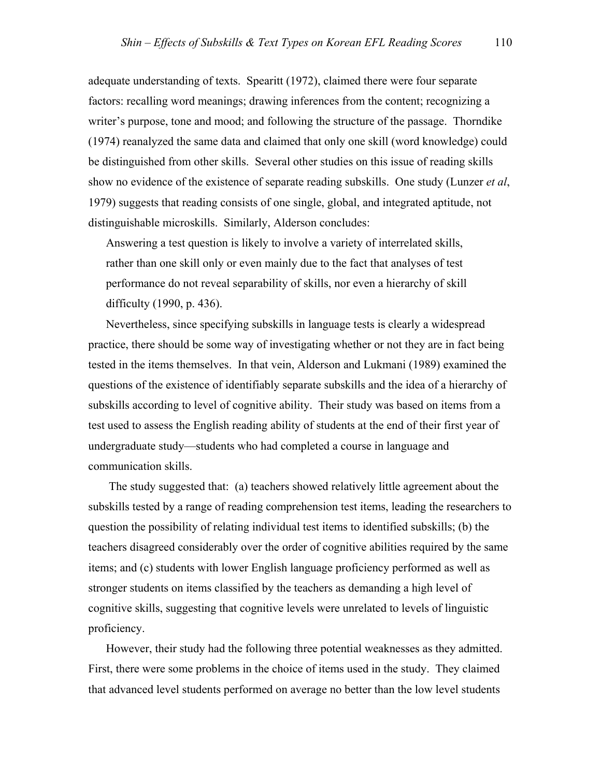adequate understanding of texts. Spearitt (1972), claimed there were four separate factors: recalling word meanings; drawing inferences from the content; recognizing a writer's purpose, tone and mood; and following the structure of the passage. Thorndike (1974) reanalyzed the same data and claimed that only one skill (word knowledge) could be distinguished from other skills. Several other studies on this issue of reading skills show no evidence of the existence of separate reading subskills. One study (Lunzer *et al*, 1979) suggests that reading consists of one single, global, and integrated aptitude, not distinguishable microskills. Similarly, Alderson concludes:

Answering a test question is likely to involve a variety of interrelated skills, rather than one skill only or even mainly due to the fact that analyses of test performance do not reveal separability of skills, nor even a hierarchy of skill difficulty (1990, p. 436).

Nevertheless, since specifying subskills in language tests is clearly a widespread practice, there should be some way of investigating whether or not they are in fact being tested in the items themselves. In that vein, Alderson and Lukmani (1989) examined the questions of the existence of identifiably separate subskills and the idea of a hierarchy of subskills according to level of cognitive ability. Their study was based on items from a test used to assess the English reading ability of students at the end of their first year of undergraduate study—students who had completed a course in language and communication skills.

 The study suggested that: (a) teachers showed relatively little agreement about the subskills tested by a range of reading comprehension test items, leading the researchers to question the possibility of relating individual test items to identified subskills; (b) the teachers disagreed considerably over the order of cognitive abilities required by the same items; and (c) students with lower English language proficiency performed as well as stronger students on items classified by the teachers as demanding a high level of cognitive skills, suggesting that cognitive levels were unrelated to levels of linguistic proficiency.

However, their study had the following three potential weaknesses as they admitted. First, there were some problems in the choice of items used in the study. They claimed that advanced level students performed on average no better than the low level students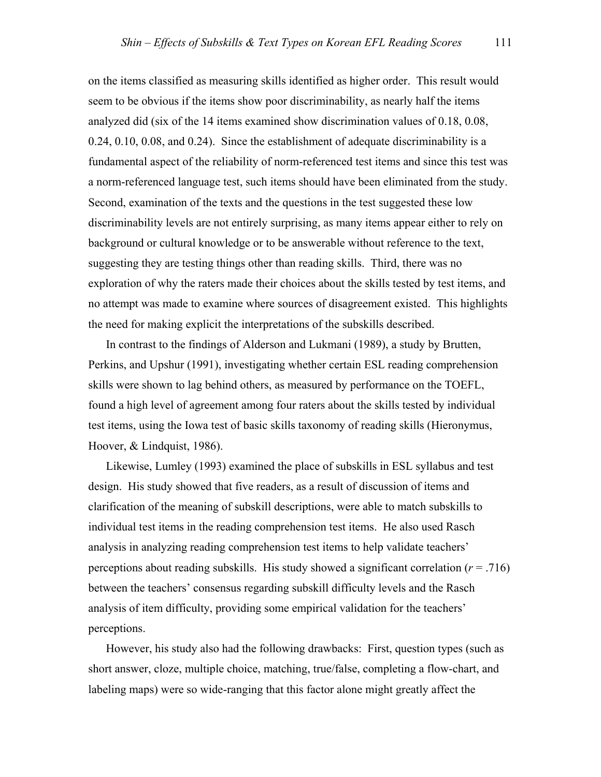on the items classified as measuring skills identified as higher order. This result would seem to be obvious if the items show poor discriminability, as nearly half the items analyzed did (six of the 14 items examined show discrimination values of 0.18, 0.08, 0.24, 0.10, 0.08, and 0.24). Since the establishment of adequate discriminability is a fundamental aspect of the reliability of norm-referenced test items and since this test was a norm-referenced language test, such items should have been eliminated from the study. Second, examination of the texts and the questions in the test suggested these low discriminability levels are not entirely surprising, as many items appear either to rely on background or cultural knowledge or to be answerable without reference to the text, suggesting they are testing things other than reading skills. Third, there was no exploration of why the raters made their choices about the skills tested by test items, and no attempt was made to examine where sources of disagreement existed. This highlights the need for making explicit the interpretations of the subskills described.

In contrast to the findings of Alderson and Lukmani (1989), a study by Brutten, Perkins, and Upshur (1991), investigating whether certain ESL reading comprehension skills were shown to lag behind others, as measured by performance on the TOEFL, found a high level of agreement among four raters about the skills tested by individual test items, using the Iowa test of basic skills taxonomy of reading skills (Hieronymus, Hoover, & Lindquist, 1986).

Likewise, Lumley (1993) examined the place of subskills in ESL syllabus and test design. His study showed that five readers, as a result of discussion of items and clarification of the meaning of subskill descriptions, were able to match subskills to individual test items in the reading comprehension test items. He also used Rasch analysis in analyzing reading comprehension test items to help validate teachers' perceptions about reading subskills. His study showed a significant correlation (*r* = .716) between the teachers' consensus regarding subskill difficulty levels and the Rasch analysis of item difficulty, providing some empirical validation for the teachers' perceptions.

However, his study also had the following drawbacks: First, question types (such as short answer, cloze, multiple choice, matching, true/false, completing a flow-chart, and labeling maps) were so wide-ranging that this factor alone might greatly affect the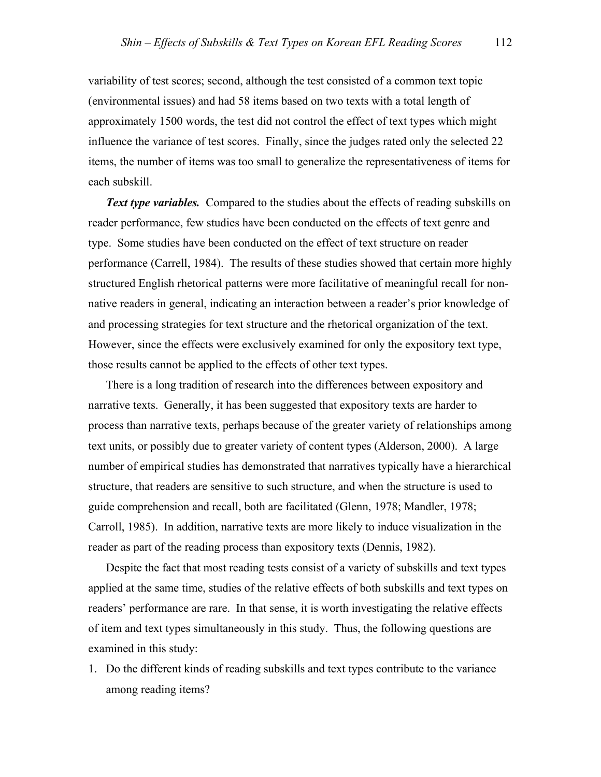variability of test scores; second, although the test consisted of a common text topic (environmental issues) and had 58 items based on two texts with a total length of approximately 1500 words, the test did not control the effect of text types which might influence the variance of test scores. Finally, since the judges rated only the selected 22 items, the number of items was too small to generalize the representativeness of items for each subskill.

**Text type variables.** Compared to the studies about the effects of reading subskills on reader performance, few studies have been conducted on the effects of text genre and type. Some studies have been conducted on the effect of text structure on reader performance (Carrell, 1984). The results of these studies showed that certain more highly structured English rhetorical patterns were more facilitative of meaningful recall for nonnative readers in general, indicating an interaction between a reader's prior knowledge of and processing strategies for text structure and the rhetorical organization of the text. However, since the effects were exclusively examined for only the expository text type, those results cannot be applied to the effects of other text types.

There is a long tradition of research into the differences between expository and narrative texts. Generally, it has been suggested that expository texts are harder to process than narrative texts, perhaps because of the greater variety of relationships among text units, or possibly due to greater variety of content types (Alderson, 2000). A large number of empirical studies has demonstrated that narratives typically have a hierarchical structure, that readers are sensitive to such structure, and when the structure is used to guide comprehension and recall, both are facilitated (Glenn, 1978; Mandler, 1978; Carroll, 1985). In addition, narrative texts are more likely to induce visualization in the reader as part of the reading process than expository texts (Dennis, 1982).

Despite the fact that most reading tests consist of a variety of subskills and text types applied at the same time, studies of the relative effects of both subskills and text types on readers' performance are rare. In that sense, it is worth investigating the relative effects of item and text types simultaneously in this study. Thus, the following questions are examined in this study:

1. Do the different kinds of reading subskills and text types contribute to the variance among reading items?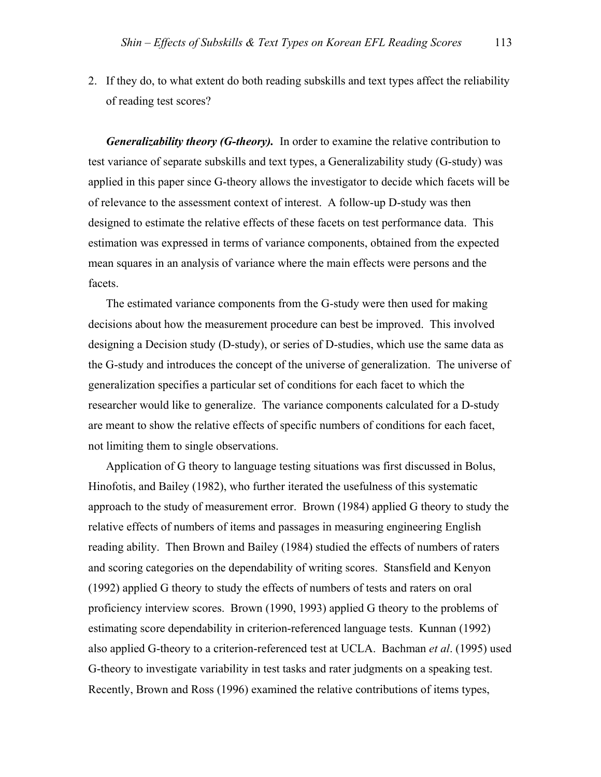2. If they do, to what extent do both reading subskills and text types affect the reliability of reading test scores?

*Generalizability theory (G-theory).* In order to examine the relative contribution to test variance of separate subskills and text types, a Generalizability study (G-study) was applied in this paper since G-theory allows the investigator to decide which facets will be of relevance to the assessment context of interest. A follow-up D-study was then designed to estimate the relative effects of these facets on test performance data. This estimation was expressed in terms of variance components, obtained from the expected mean squares in an analysis of variance where the main effects were persons and the facets.

The estimated variance components from the G-study were then used for making decisions about how the measurement procedure can best be improved. This involved designing a Decision study (D-study), or series of D-studies, which use the same data as the G-study and introduces the concept of the universe of generalization. The universe of generalization specifies a particular set of conditions for each facet to which the researcher would like to generalize. The variance components calculated for a D-study are meant to show the relative effects of specific numbers of conditions for each facet, not limiting them to single observations.

Application of G theory to language testing situations was first discussed in Bolus, Hinofotis, and Bailey (1982), who further iterated the usefulness of this systematic approach to the study of measurement error. Brown (1984) applied G theory to study the relative effects of numbers of items and passages in measuring engineering English reading ability. Then Brown and Bailey (1984) studied the effects of numbers of raters and scoring categories on the dependability of writing scores. Stansfield and Kenyon (1992) applied G theory to study the effects of numbers of tests and raters on oral proficiency interview scores. Brown (1990, 1993) applied G theory to the problems of estimating score dependability in criterion-referenced language tests. Kunnan (1992) also applied G-theory to a criterion-referenced test at UCLA. Bachman *et al*. (1995) used G-theory to investigate variability in test tasks and rater judgments on a speaking test. Recently, Brown and Ross (1996) examined the relative contributions of items types,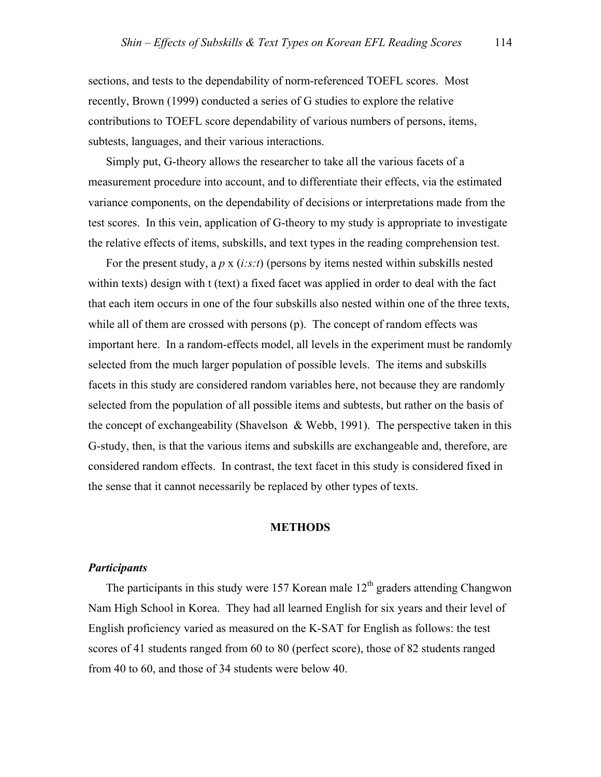sections, and tests to the dependability of norm-referenced TOEFL scores. Most recently, Brown (1999) conducted a series of G studies to explore the relative contributions to TOEFL score dependability of various numbers of persons, items, subtests, languages, and their various interactions.

Simply put, G-theory allows the researcher to take all the various facets of a measurement procedure into account, and to differentiate their effects, via the estimated variance components, on the dependability of decisions or interpretations made from the test scores. In this vein, application of G-theory to my study is appropriate to investigate the relative effects of items, subskills, and text types in the reading comprehension test.

For the present study, a *p* x (*i:s:t*) (persons by items nested within subskills nested within texts) design with t (text) a fixed facet was applied in order to deal with the fact that each item occurs in one of the four subskills also nested within one of the three texts, while all of them are crossed with persons (p). The concept of random effects was important here. In a random-effects model, all levels in the experiment must be randomly selected from the much larger population of possible levels. The items and subskills facets in this study are considered random variables here, not because they are randomly selected from the population of all possible items and subtests, but rather on the basis of the concept of exchangeability (Shavelson  $\&$  Webb, 1991). The perspective taken in this G-study, then, is that the various items and subskills are exchangeable and, therefore, are considered random effects. In contrast, the text facet in this study is considered fixed in the sense that it cannot necessarily be replaced by other types of texts.

#### **METHODS**

## *Participants*

The participants in this study were 157 Korean male  $12<sup>th</sup>$  graders attending Changwon Nam High School in Korea. They had all learned English for six years and their level of English proficiency varied as measured on the K-SAT for English as follows: the test scores of 41 students ranged from 60 to 80 (perfect score), those of 82 students ranged from 40 to 60, and those of 34 students were below 40.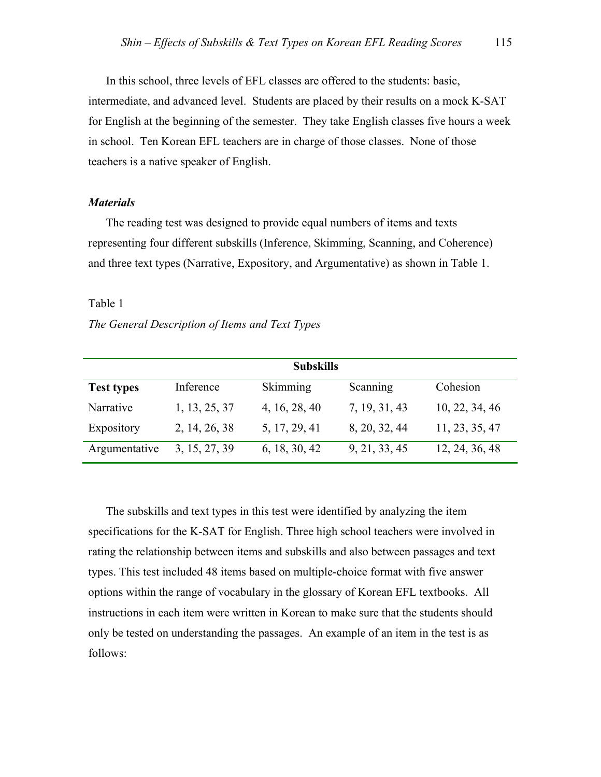In this school, three levels of EFL classes are offered to the students: basic, intermediate, and advanced level. Students are placed by their results on a mock K-SAT for English at the beginning of the semester. They take English classes five hours a week in school. Ten Korean EFL teachers are in charge of those classes. None of those teachers is a native speaker of English.

#### *Materials*

The reading test was designed to provide equal numbers of items and texts representing four different subskills (Inference, Skimming, Scanning, and Coherence) and three text types (Narrative, Expository, and Argumentative) as shown in Table 1.

#### Table 1

#### *The General Description of Items and Text Types*

| <b>Subskills</b>  |               |               |               |                |  |  |  |  |
|-------------------|---------------|---------------|---------------|----------------|--|--|--|--|
| <b>Test types</b> | Inference     | Skimming      | Scanning      | Cohesion       |  |  |  |  |
| Narrative         | 1, 13, 25, 37 | 4, 16, 28, 40 | 7, 19, 31, 43 | 10, 22, 34, 46 |  |  |  |  |
| Expository        | 2, 14, 26, 38 | 5, 17, 29, 41 | 8, 20, 32, 44 | 11, 23, 35, 47 |  |  |  |  |
| Argumentative     | 3, 15, 27, 39 | 6, 18, 30, 42 | 9, 21, 33, 45 | 12, 24, 36, 48 |  |  |  |  |

The subskills and text types in this test were identified by analyzing the item specifications for the K-SAT for English. Three high school teachers were involved in rating the relationship between items and subskills and also between passages and text types. This test included 48 items based on multiple-choice format with five answer options within the range of vocabulary in the glossary of Korean EFL textbooks. All instructions in each item were written in Korean to make sure that the students should only be tested on understanding the passages. An example of an item in the test is as follows: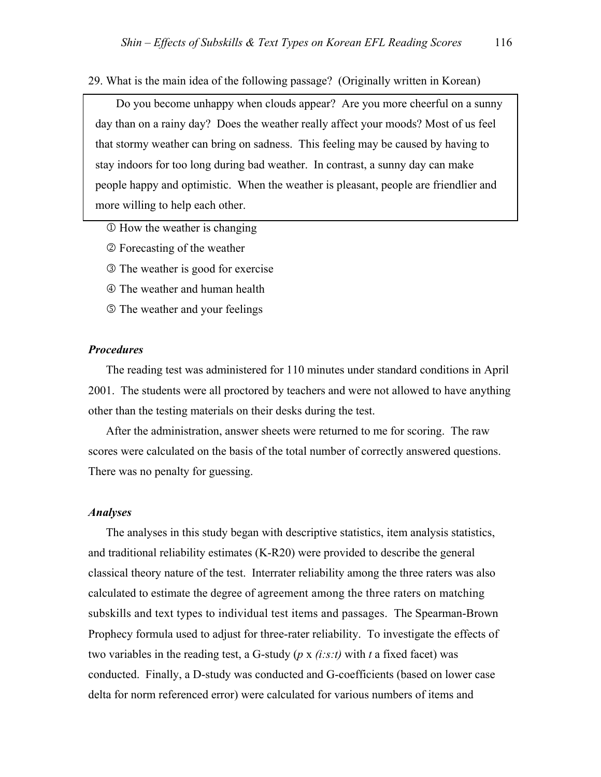29. What is the main idea of the following passage? (Originally written in Korean)

 Do you become unhappy when clouds appear? Are you more cheerful on a sunny day than on a rainy day? Does the weather really affect your moods? Most of us feel that stormy weather can bring on sadness. This feeling may be caused by having to stay indoors for too long during bad weather. In contrast, a sunny day can make people happy and optimistic. When the weather is pleasant, people are friendlier and more willing to help each other.

- $\Phi$  How the weather is changing
- 2 Forecasting of the weather
- 3 The weather is good for exercise
- 4 The weather and human health
- 5 The weather and your feelings

#### *Procedures*

The reading test was administered for 110 minutes under standard conditions in April 2001. The students were all proctored by teachers and were not allowed to have anything other than the testing materials on their desks during the test.

After the administration, answer sheets were returned to me for scoring. The raw scores were calculated on the basis of the total number of correctly answered questions. There was no penalty for guessing.

#### *Analyses*

The analyses in this study began with descriptive statistics, item analysis statistics, and traditional reliability estimates (K-R20) were provided to describe the general classical theory nature of the test. Interrater reliability among the three raters was also calculated to estimate the degree of agreement among the three raters on matching subskills and text types to individual test items and passages. The Spearman-Brown Prophecy formula used to adjust for three-rater reliability. To investigate the effects of two variables in the reading test, a G-study (*p* x *(i:s:t)* with *t* a fixed facet) was conducted. Finally, a D-study was conducted and G-coefficients (based on lower case delta for norm referenced error) were calculated for various numbers of items and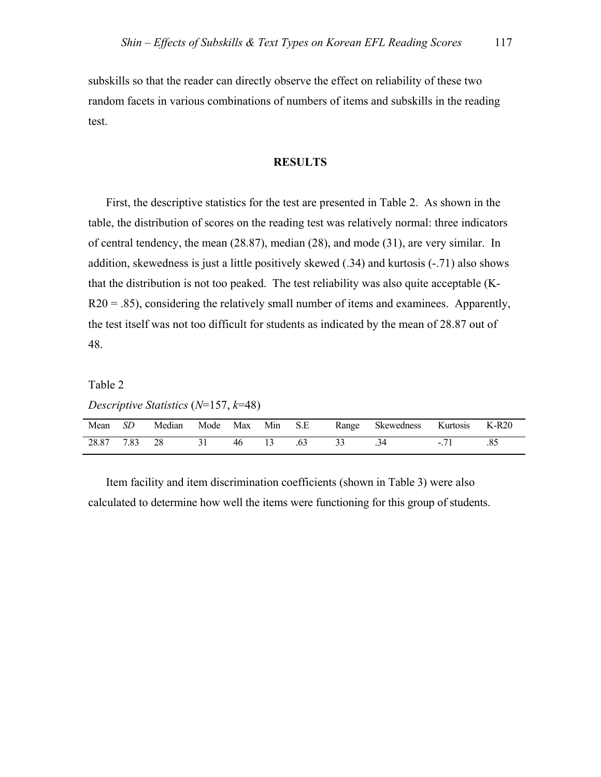subskills so that the reader can directly observe the effect on reliability of these two random facets in various combinations of numbers of items and subskills in the reading test.

## **RESULTS**

First, the descriptive statistics for the test are presented in Table 2. As shown in the table, the distribution of scores on the reading test was relatively normal: three indicators of central tendency, the mean (28.87), median (28), and mode (31), are very similar. In addition, skewedness is just a little positively skewed (.34) and kurtosis (-.71) also shows that the distribution is not too peaked. The test reliability was also quite acceptable (K- $R20 = .85$ ), considering the relatively small number of items and examinees. Apparently, the test itself was not too difficult for students as indicated by the mean of 28.87 out of 48.

Table 2

*Descriptive Statistics* (*N*=157, *k*=48)

| Mean  | SD   | Median | Mode | Max | Min | S.E | Range | <b>Skewedness</b> | Kurtosis | K-R20 |
|-------|------|--------|------|-----|-----|-----|-------|-------------------|----------|-------|
| 28.87 | 7.83 | 28     |      | 46  |     |     |       |                   | -        |       |

Item facility and item discrimination coefficients (shown in Table 3) were also calculated to determine how well the items were functioning for this group of students.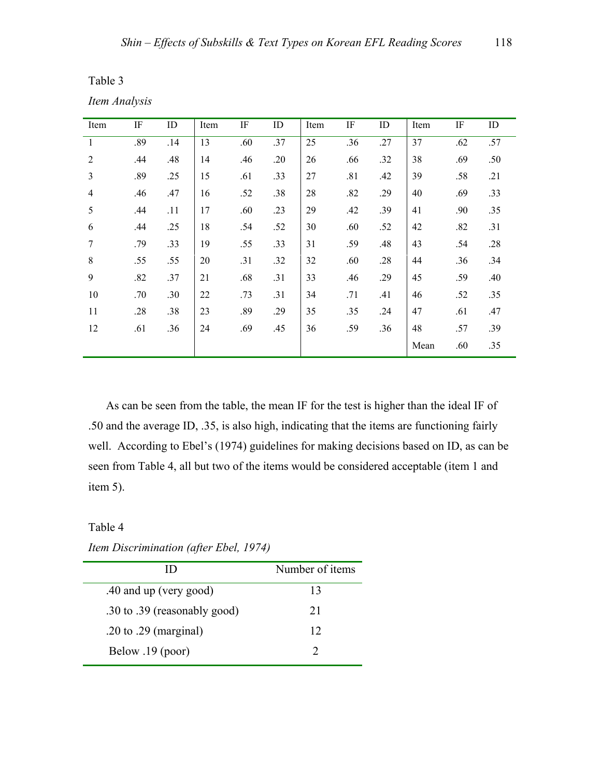|  | ×<br>۰. |
|--|---------|
|--|---------|

| aple |  |
|------|--|
|      |  |

*Item Analysis* 

| Item           | IF  | ID  | Item | IF  | ID  | Item | $\rm IF$ | ID  | Item | IF  | ID  |
|----------------|-----|-----|------|-----|-----|------|----------|-----|------|-----|-----|
| 1              | .89 | .14 | 13   | .60 | .37 | 25   | .36      | .27 | 37   | .62 | .57 |
| $\overline{2}$ | .44 | .48 | 14   | .46 | .20 | 26   | .66      | .32 | 38   | .69 | .50 |
| $\overline{3}$ | .89 | .25 | 15   | .61 | .33 | 27   | .81      | .42 | 39   | .58 | .21 |
| $\overline{4}$ | .46 | .47 | 16   | .52 | .38 | 28   | .82      | .29 | 40   | .69 | .33 |
| 5              | .44 | .11 | 17   | .60 | .23 | 29   | .42      | .39 | 41   | .90 | .35 |
| 6              | .44 | .25 | 18   | .54 | .52 | 30   | .60      | .52 | 42   | .82 | .31 |
| $\overline{7}$ | .79 | .33 | 19   | .55 | .33 | 31   | .59      | .48 | 43   | .54 | .28 |
| 8              | .55 | .55 | 20   | .31 | .32 | 32   | .60      | .28 | 44   | .36 | .34 |
| 9              | .82 | .37 | 21   | .68 | .31 | 33   | .46      | .29 | 45   | .59 | .40 |
| 10             | .70 | .30 | 22   | .73 | .31 | 34   | .71      | .41 | 46   | .52 | .35 |
| 11             | .28 | .38 | 23   | .89 | .29 | 35   | .35      | .24 | 47   | .61 | .47 |
| 12             | .61 | .36 | 24   | .69 | .45 | 36   | .59      | .36 | 48   | .57 | .39 |
|                |     |     |      |     |     |      |          |     | Mean | .60 | .35 |

As can be seen from the table, the mean IF for the test is higher than the ideal IF of .50 and the average ID, .35, is also high, indicating that the items are functioning fairly well. According to Ebel's (1974) guidelines for making decisions based on ID, as can be seen from Table 4, all but two of the items would be considered acceptable (item 1 and item 5).

Table 4

 ID Number of items .40 and up (very good) 13 .30 to .39 (reasonably good) 21 .20 to .29 (marginal) 12 Below .19 (poor) 2

*Item Discrimination (after Ebel, 1974)*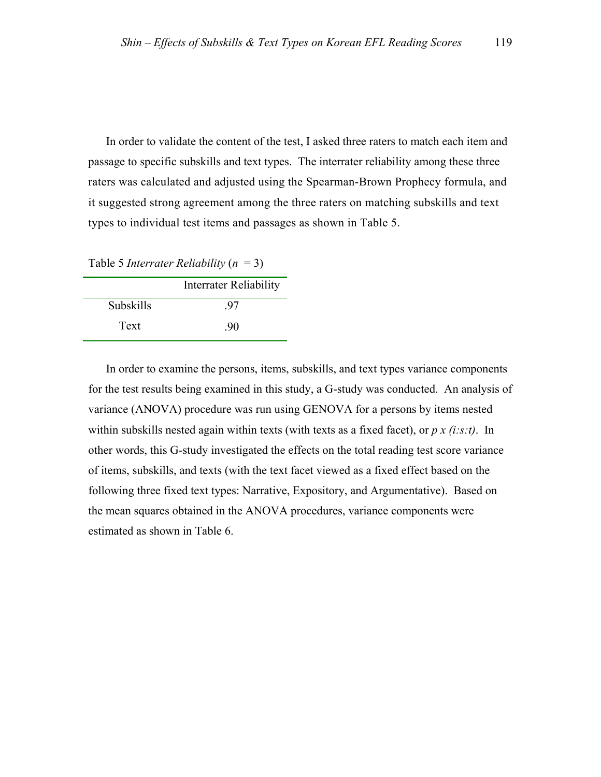In order to validate the content of the test, I asked three raters to match each item and passage to specific subskills and text types. The interrater reliability among these three raters was calculated and adjusted using the Spearman-Brown Prophecy formula, and it suggested strong agreement among the three raters on matching subskills and text types to individual test items and passages as shown in Table 5.

Table 5 *Interrater Reliability* (*n* = 3)

|                  | Interrater Reliability |
|------------------|------------------------|
| <b>Subskills</b> | -97                    |
| Text             | -90                    |

In order to examine the persons, items, subskills, and text types variance components for the test results being examined in this study, a G-study was conducted. An analysis of variance (ANOVA) procedure was run using GENOVA for a persons by items nested within subskills nested again within texts (with texts as a fixed facet), or *p x (i:s:t)*. In other words, this G-study investigated the effects on the total reading test score variance of items, subskills, and texts (with the text facet viewed as a fixed effect based on the following three fixed text types: Narrative, Expository, and Argumentative). Based on the mean squares obtained in the ANOVA procedures, variance components were estimated as shown in Table 6.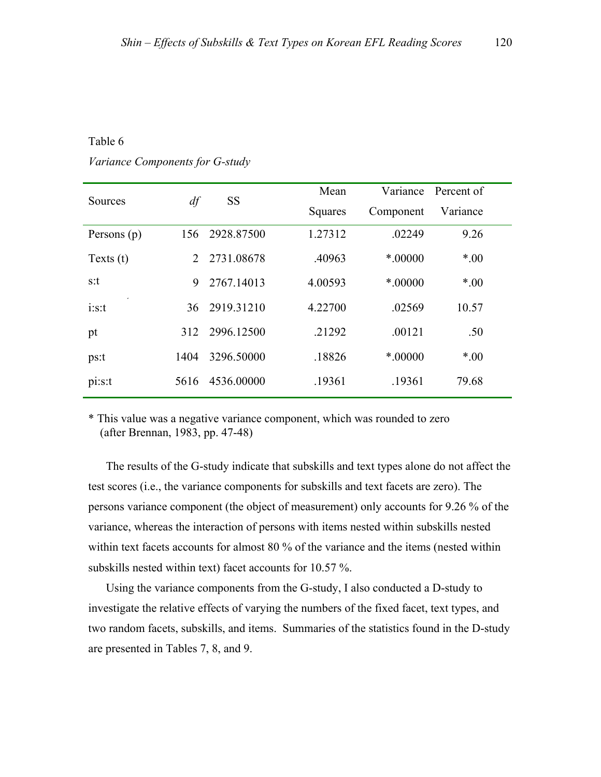#### Table 6

*Variance Components for G-study*

| Sources     | df                          | <b>SS</b>  | Mean    |           | Variance Percent of |  |
|-------------|-----------------------------|------------|---------|-----------|---------------------|--|
|             |                             |            | Squares | Component | Variance            |  |
| Persons (p) | 156                         | 2928.87500 | 1.27312 | .02249    | 9.26                |  |
| Texts $(t)$ | $\mathcal{D}_{\mathcal{L}}$ | 2731.08678 | .40963  | $*00000$  | $*00$               |  |
| s:t         | 9                           | 2767.14013 | 4.00593 | $*00000$  | $*00$               |  |
| i:s:t       | 36                          | 2919.31210 | 4.22700 | .02569    | 10.57               |  |
| pt          | 312                         | 2996.12500 | .21292  | .00121    | .50                 |  |
| ps:t        | 1404                        | 3296.50000 | .18826  | $*00000$  | $*00$               |  |
| pi:s:t      | 5616                        | 4536.00000 | .19361  | .19361    | 79.68               |  |

\* This value was a negative variance component, which was rounded to zero (after Brennan, 1983, pp. 47-48)

The results of the G-study indicate that subskills and text types alone do not affect the test scores (i.e., the variance components for subskills and text facets are zero). The persons variance component (the object of measurement) only accounts for 9.26 % of the variance, whereas the interaction of persons with items nested within subskills nested within text facets accounts for almost 80 % of the variance and the items (nested within subskills nested within text) facet accounts for 10.57 %.

Using the variance components from the G-study, I also conducted a D-study to investigate the relative effects of varying the numbers of the fixed facet, text types, and two random facets, subskills, and items. Summaries of the statistics found in the D-study are presented in Tables 7, 8, and 9.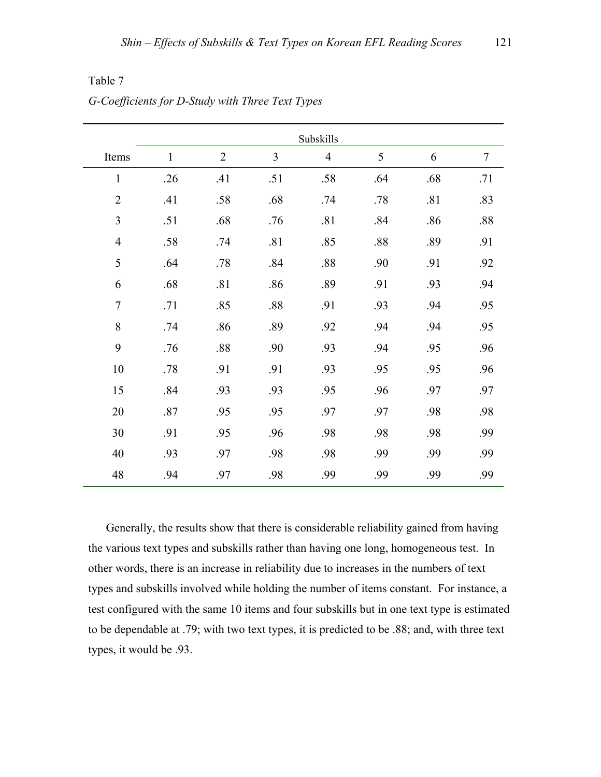|                |              |                |     | Subskills      |     |     |        |
|----------------|--------------|----------------|-----|----------------|-----|-----|--------|
| Items          | $\mathbf{1}$ | $\overline{2}$ | 3   | $\overline{4}$ | 5   | 6   | $\tau$ |
| $\mathbf{1}$   | .26          | .41            | .51 | .58            | .64 | .68 | .71    |
| $\overline{2}$ | .41          | .58            | .68 | .74            | .78 | .81 | .83    |
| $\overline{3}$ | .51          | .68            | .76 | .81            | .84 | .86 | .88    |
| $\overline{4}$ | .58          | .74            | .81 | .85            | .88 | .89 | .91    |
| 5              | .64          | .78            | .84 | .88            | .90 | .91 | .92    |
| 6              | .68          | .81            | .86 | .89            | .91 | .93 | .94    |
| $\overline{7}$ | .71          | .85            | .88 | .91            | .93 | .94 | .95    |
| 8              | .74          | .86            | .89 | .92            | .94 | .94 | .95    |
| 9              | .76          | $.88\,$        | .90 | .93            | .94 | .95 | .96    |
| 10             | .78          | .91            | .91 | .93            | .95 | .95 | .96    |
| 15             | .84          | .93            | .93 | .95            | .96 | .97 | .97    |
| 20             | .87          | .95            | .95 | .97            | .97 | .98 | .98    |
| 30             | .91          | .95            | .96 | .98            | .98 | .98 | .99    |
| 40             | .93          | .97            | .98 | .98            | .99 | .99 | .99    |
| 48             | .94          | .97            | .98 | .99            | .99 | .99 | .99    |

Table 7 *G-Coefficients for D-Study with Three Text Types* 

Generally, the results show that there is considerable reliability gained from having the various text types and subskills rather than having one long, homogeneous test. In other words, there is an increase in reliability due to increases in the numbers of text types and subskills involved while holding the number of items constant. For instance, a test configured with the same 10 items and four subskills but in one text type is estimated to be dependable at .79; with two text types, it is predicted to be .88; and, with three text types, it would be .93.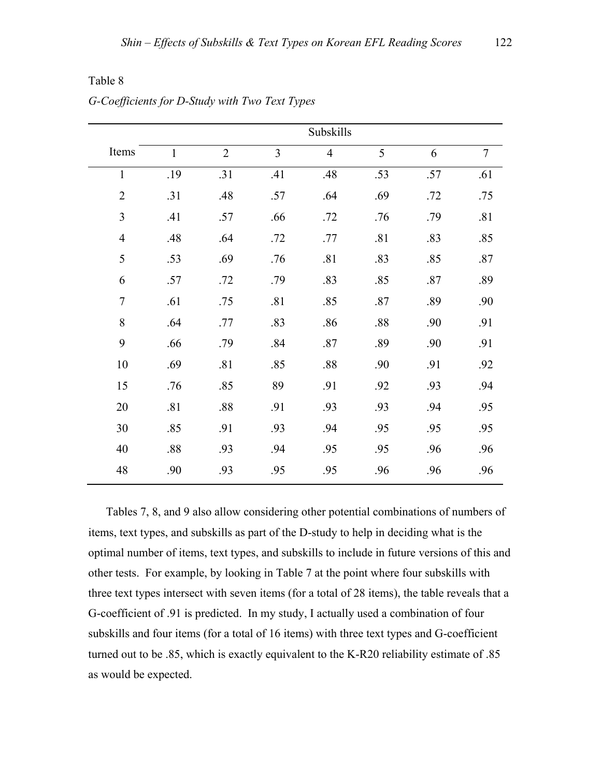|                | Subskills    |                |                |                |     |     |                |  |  |
|----------------|--------------|----------------|----------------|----------------|-----|-----|----------------|--|--|
| Items          | $\mathbf{1}$ | $\overline{2}$ | $\overline{3}$ | $\overline{4}$ | 5   | 6   | $\overline{7}$ |  |  |
| $\mathbf{1}$   | .19          | .31            | .41            | .48            | .53 | .57 | .61            |  |  |
| $\overline{2}$ | .31          | .48            | .57            | .64            | .69 | .72 | .75            |  |  |
| $\mathfrak{Z}$ | .41          | .57            | .66            | .72            | .76 | .79 | .81            |  |  |
| $\overline{4}$ | .48          | .64            | .72            | .77            | .81 | .83 | .85            |  |  |
| 5              | .53          | .69            | .76            | .81            | .83 | .85 | .87            |  |  |
| 6              | .57          | .72            | .79            | .83            | .85 | .87 | .89            |  |  |
| $\overline{7}$ | .61          | .75            | .81            | .85            | .87 | .89 | .90            |  |  |
| $\,8\,$        | .64          | .77            | .83            | .86            | .88 | .90 | .91            |  |  |
| 9              | .66          | .79            | .84            | .87            | .89 | .90 | .91            |  |  |
| 10             | .69          | .81            | .85            | .88            | .90 | .91 | .92            |  |  |
| 15             | .76          | .85            | 89             | .91            | .92 | .93 | .94            |  |  |
| 20             | .81          | .88            | .91            | .93            | .93 | .94 | .95            |  |  |
| 30             | .85          | .91            | .93            | .94            | .95 | .95 | .95            |  |  |
| 40             | .88          | .93            | .94            | .95            | .95 | .96 | .96            |  |  |
| 48             | .90          | .93            | .95            | .95            | .96 | .96 | .96            |  |  |

Table 8 *G-Coefficients for D-Study with Two Text Types* 

Tables 7, 8, and 9 also allow considering other potential combinations of numbers of items, text types, and subskills as part of the D-study to help in deciding what is the optimal number of items, text types, and subskills to include in future versions of this and other tests. For example, by looking in Table 7 at the point where four subskills with three text types intersect with seven items (for a total of 28 items), the table reveals that a G-coefficient of .91 is predicted. In my study, I actually used a combination of four subskills and four items (for a total of 16 items) with three text types and G-coefficient turned out to be .85, which is exactly equivalent to the K-R20 reliability estimate of .85 as would be expected.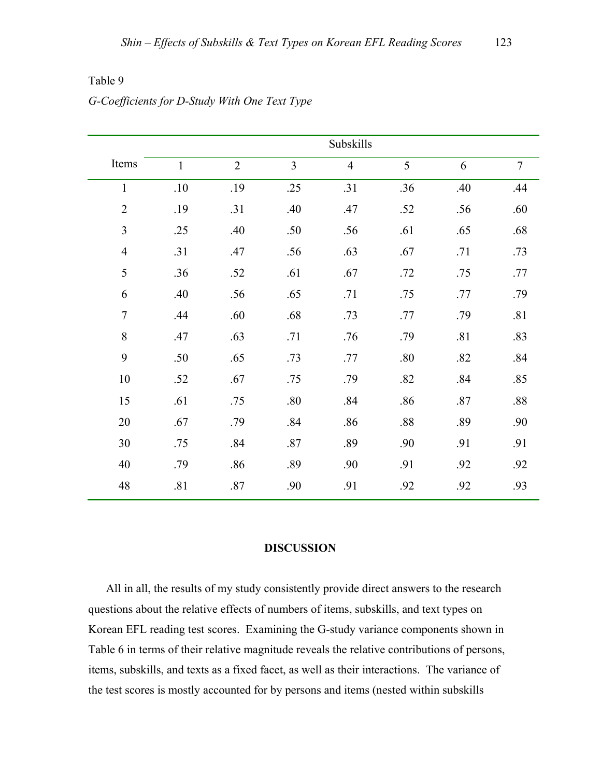|                | Subskills    |                |                |                |     |     |                |  |  |
|----------------|--------------|----------------|----------------|----------------|-----|-----|----------------|--|--|
| Items          | $\mathbf{1}$ | $\overline{2}$ | $\overline{3}$ | $\overline{4}$ | 5   | 6   | $\overline{7}$ |  |  |
| $\mathbf{1}$   | $.10\,$      | .19            | .25            | .31            | .36 | .40 | .44            |  |  |
| $\overline{2}$ | .19          | .31            | .40            | .47            | .52 | .56 | .60            |  |  |
| $\overline{3}$ | .25          | .40            | .50            | .56            | .61 | .65 | .68            |  |  |
| $\overline{4}$ | .31          | .47            | .56            | .63            | .67 | .71 | .73            |  |  |
| 5              | .36          | .52            | .61            | .67            | .72 | .75 | .77            |  |  |
| 6              | .40          | .56            | .65            | .71            | .75 | .77 | .79            |  |  |
| $\overline{7}$ | .44          | .60            | .68            | .73            | .77 | .79 | .81            |  |  |
| $8\,$          | .47          | .63            | .71            | .76            | .79 | .81 | .83            |  |  |
| 9              | .50          | .65            | .73            | .77            | .80 | .82 | .84            |  |  |
| 10             | .52          | .67            | .75            | .79            | .82 | .84 | .85            |  |  |
| 15             | .61          | .75            | .80            | .84            | .86 | .87 | $.88\,$        |  |  |
| 20             | .67          | .79            | .84            | .86            | .88 | .89 | .90            |  |  |
| 30             | .75          | .84            | .87            | .89            | .90 | .91 | .91            |  |  |
| 40             | .79          | .86            | .89            | .90            | .91 | .92 | .92            |  |  |
| 48             | .81          | $.87\,$        | .90            | .91            | .92 | .92 | .93            |  |  |

Table 9

## *G-Coefficients for D-Study With One Text Type*

#### **DISCUSSION**

All in all, the results of my study consistently provide direct answers to the research questions about the relative effects of numbers of items, subskills, and text types on Korean EFL reading test scores. Examining the G-study variance components shown in Table 6 in terms of their relative magnitude reveals the relative contributions of persons, items, subskills, and texts as a fixed facet, as well as their interactions. The variance of the test scores is mostly accounted for by persons and items (nested within subskills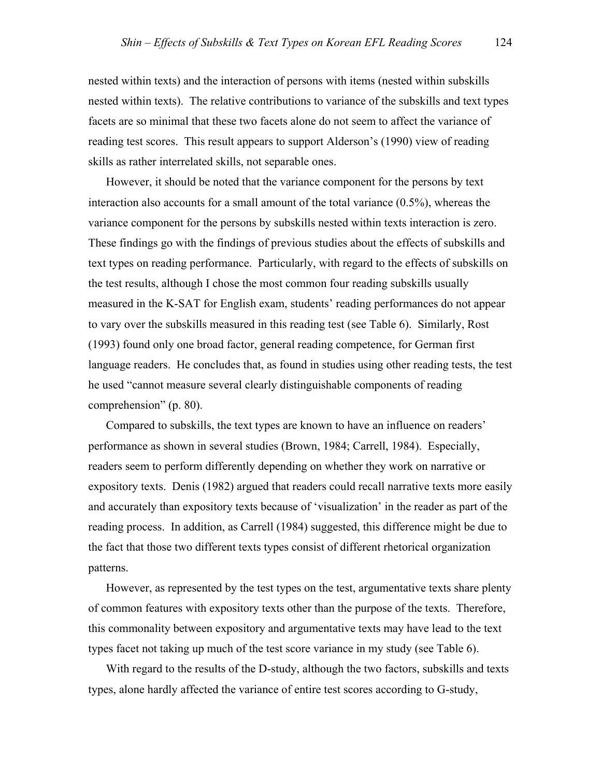nested within texts) and the interaction of persons with items (nested within subskills nested within texts). The relative contributions to variance of the subskills and text types facets are so minimal that these two facets alone do not seem to affect the variance of reading test scores. This result appears to support Alderson's (1990) view of reading skills as rather interrelated skills, not separable ones.

However, it should be noted that the variance component for the persons by text interaction also accounts for a small amount of the total variance  $(0.5\%)$ , whereas the variance component for the persons by subskills nested within texts interaction is zero. These findings go with the findings of previous studies about the effects of subskills and text types on reading performance. Particularly, with regard to the effects of subskills on the test results, although I chose the most common four reading subskills usually measured in the K-SAT for English exam, students' reading performances do not appear to vary over the subskills measured in this reading test (see Table 6). Similarly, Rost (1993) found only one broad factor, general reading competence, for German first language readers. He concludes that, as found in studies using other reading tests, the test he used "cannot measure several clearly distinguishable components of reading comprehension" (p. 80).

Compared to subskills, the text types are known to have an influence on readers' performance as shown in several studies (Brown, 1984; Carrell, 1984). Especially, readers seem to perform differently depending on whether they work on narrative or expository texts. Denis (1982) argued that readers could recall narrative texts more easily and accurately than expository texts because of 'visualization' in the reader as part of the reading process. In addition, as Carrell (1984) suggested, this difference might be due to the fact that those two different texts types consist of different rhetorical organization patterns.

However, as represented by the test types on the test, argumentative texts share plenty of common features with expository texts other than the purpose of the texts. Therefore, this commonality between expository and argumentative texts may have lead to the text types facet not taking up much of the test score variance in my study (see Table 6).

With regard to the results of the D-study, although the two factors, subskills and texts types, alone hardly affected the variance of entire test scores according to G-study,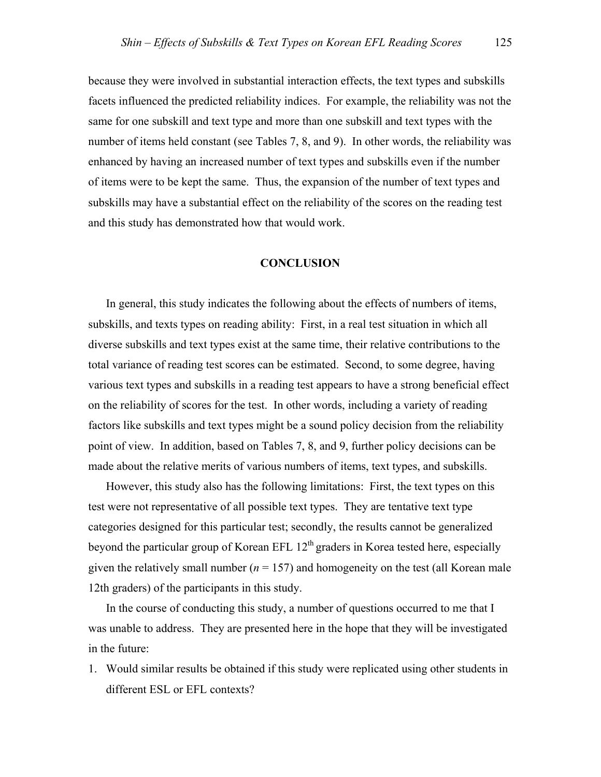because they were involved in substantial interaction effects, the text types and subskills facets influenced the predicted reliability indices. For example, the reliability was not the same for one subskill and text type and more than one subskill and text types with the number of items held constant (see Tables 7, 8, and 9). In other words, the reliability was enhanced by having an increased number of text types and subskills even if the number of items were to be kept the same. Thus, the expansion of the number of text types and subskills may have a substantial effect on the reliability of the scores on the reading test and this study has demonstrated how that would work.

#### **CONCLUSION**

In general, this study indicates the following about the effects of numbers of items, subskills, and texts types on reading ability: First, in a real test situation in which all diverse subskills and text types exist at the same time, their relative contributions to the total variance of reading test scores can be estimated. Second, to some degree, having various text types and subskills in a reading test appears to have a strong beneficial effect on the reliability of scores for the test. In other words, including a variety of reading factors like subskills and text types might be a sound policy decision from the reliability point of view. In addition, based on Tables 7, 8, and 9, further policy decisions can be made about the relative merits of various numbers of items, text types, and subskills.

However, this study also has the following limitations: First, the text types on this test were not representative of all possible text types. They are tentative text type categories designed for this particular test; secondly, the results cannot be generalized beyond the particular group of Korean EFL  $12<sup>th</sup>$  graders in Korea tested here, especially given the relatively small number  $(n = 157)$  and homogeneity on the test (all Korean male 12th graders) of the participants in this study.

In the course of conducting this study, a number of questions occurred to me that I was unable to address. They are presented here in the hope that they will be investigated in the future:

1. Would similar results be obtained if this study were replicated using other students in different ESL or EFL contexts?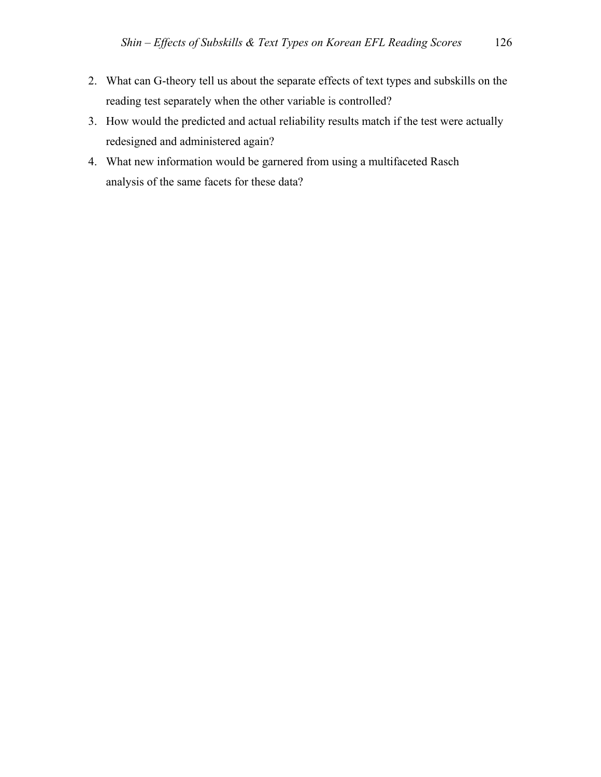- 2. What can G-theory tell us about the separate effects of text types and subskills on the reading test separately when the other variable is controlled?
- 3. How would the predicted and actual reliability results match if the test were actually redesigned and administered again?
- 4. What new information would be garnered from using a multifaceted Rasch analysis of the same facets for these data?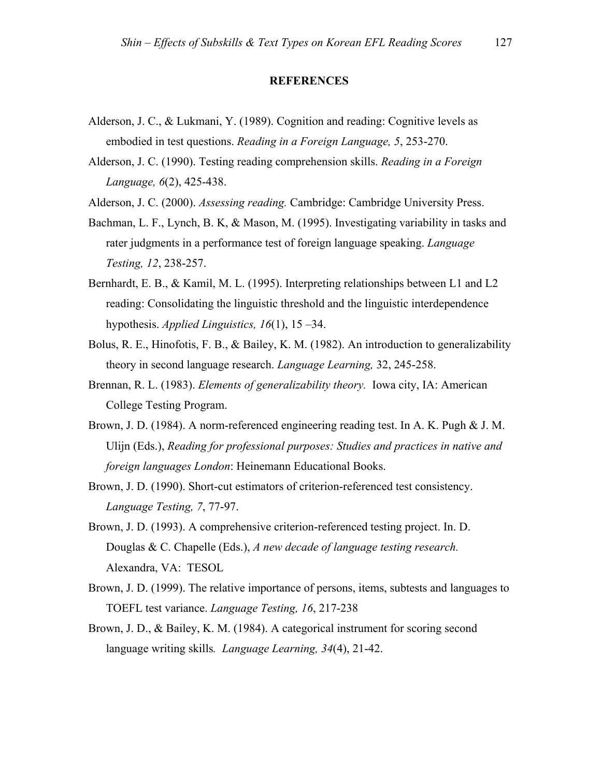#### **REFERENCES**

- Alderson, J. C., & Lukmani, Y. (1989). Cognition and reading: Cognitive levels as embodied in test questions. *Reading in a Foreign Language, 5*, 253-270.
- Alderson, J. C. (1990). Testing reading comprehension skills. *Reading in a Foreign Language, 6*(2), 425-438.
- Alderson, J. C. (2000). *Assessing reading.* Cambridge: Cambridge University Press.
- Bachman, L. F., Lynch, B. K, & Mason, M. (1995). Investigating variability in tasks and rater judgments in a performance test of foreign language speaking. *Language Testing, 12*, 238-257.
- Bernhardt, E. B., & Kamil, M. L. (1995). Interpreting relationships between L1 and L2 reading: Consolidating the linguistic threshold and the linguistic interdependence hypothesis. *Applied Linguistics, 16*(1), 15 –34.
- Bolus, R. E., Hinofotis, F. B., & Bailey, K. M. (1982). An introduction to generalizability theory in second language research. *Language Learning,* 32, 245-258.
- Brennan, R. L. (1983). *Elements of generalizability theory.* Iowa city, IA: American College Testing Program.
- Brown, J. D. (1984). A norm-referenced engineering reading test. In A. K. Pugh & J. M. Ulijn (Eds.), *Reading for professional purposes: Studies and practices in native and foreign languages London*: Heinemann Educational Books.
- Brown, J. D. (1990). Short-cut estimators of criterion-referenced test consistency. *Language Testing, 7*, 77-97.
- Brown, J. D. (1993). A comprehensive criterion-referenced testing project. In. D. Douglas & C. Chapelle (Eds.), *A new decade of language testing research.* Alexandra, VA: TESOL
- Brown, J. D. (1999). The relative importance of persons, items, subtests and languages to TOEFL test variance. *Language Testing, 16*, 217-238
- Brown, J. D., & Bailey, K. M. (1984). A categorical instrument for scoring second language writing skills*. Language Learning, 34*(4), 21-42.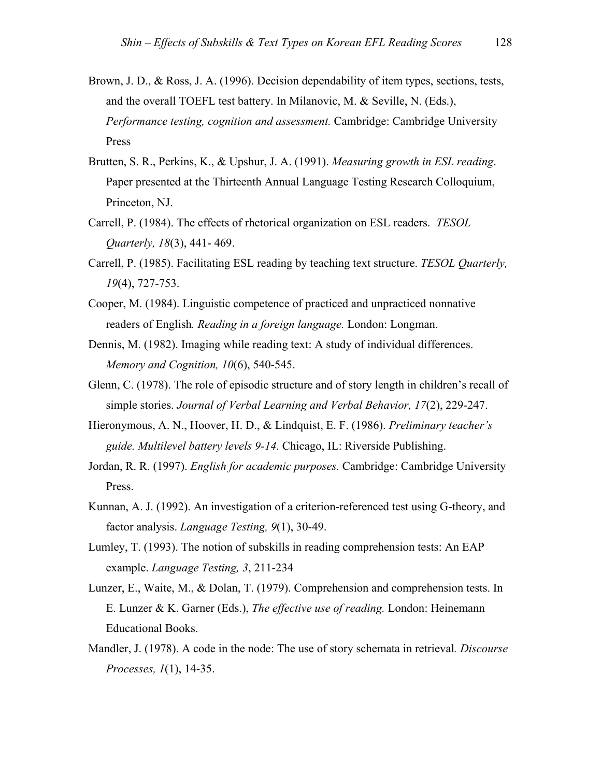- Brown, J. D., & Ross, J. A. (1996). Decision dependability of item types, sections, tests, and the overall TOEFL test battery. In Milanovic, M. & Seville, N. (Eds.), *Performance testing, cognition and assessment.* Cambridge: Cambridge University Press
- Brutten, S. R., Perkins, K., & Upshur, J. A. (1991). *Measuring growth in ESL reading*. Paper presented at the Thirteenth Annual Language Testing Research Colloquium, Princeton, NJ.
- Carrell, P. (1984). The effects of rhetorical organization on ESL readers. *TESOL Quarterly, 18*(3), 441- 469.
- Carrell, P. (1985). Facilitating ESL reading by teaching text structure. *TESOL Quarterly, 19*(4), 727-753.
- Cooper, M. (1984). Linguistic competence of practiced and unpracticed nonnative readers of English*. Reading in a foreign language.* London: Longman.
- Dennis, M. (1982). Imaging while reading text: A study of individual differences. *Memory and Cognition, 10*(6), 540-545.
- Glenn, C. (1978). The role of episodic structure and of story length in children's recall of simple stories. *Journal of Verbal Learning and Verbal Behavior, 17*(2), 229-247.
- Hieronymous, A. N., Hoover, H. D., & Lindquist, E. F. (1986). *Preliminary teacher's guide. Multilevel battery levels 9-14.* Chicago, IL: Riverside Publishing.
- Jordan, R. R. (1997). *English for academic purposes.* Cambridge: Cambridge University Press.
- Kunnan, A. J. (1992). An investigation of a criterion-referenced test using G-theory, and factor analysis. *Language Testing, 9*(1), 30-49.
- Lumley, T. (1993). The notion of subskills in reading comprehension tests: An EAP example. *Language Testing, 3*, 211-234
- Lunzer, E., Waite, M., & Dolan, T. (1979). Comprehension and comprehension tests. In E. Lunzer & K. Garner (Eds.), *The effective use of reading.* London: Heinemann Educational Books.
- Mandler, J. (1978). A code in the node: The use of story schemata in retrieval*. Discourse Processes, 1*(1), 14-35.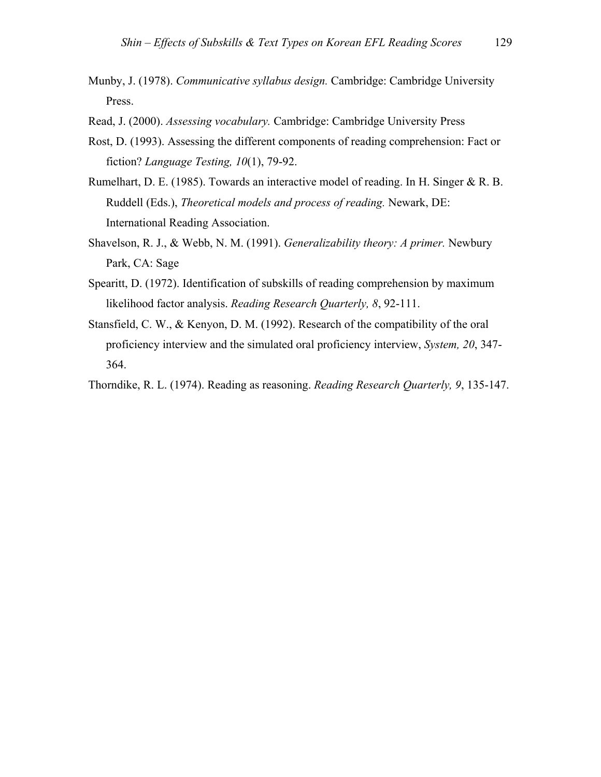- Munby, J. (1978). *Communicative syllabus design.* Cambridge: Cambridge University Press.
- Read, J. (2000). *Assessing vocabulary.* Cambridge: Cambridge University Press
- Rost, D. (1993). Assessing the different components of reading comprehension: Fact or fiction? *Language Testing, 10*(1), 79-92.
- Rumelhart, D. E. (1985). Towards an interactive model of reading. In H. Singer & R. B. Ruddell (Eds.), *Theoretical models and process of reading.* Newark, DE: International Reading Association.
- Shavelson, R. J., & Webb, N. M. (1991). *Generalizability theory: A primer.* Newbury Park, CA: Sage
- Spearitt, D. (1972). Identification of subskills of reading comprehension by maximum likelihood factor analysis. *Reading Research Quarterly, 8*, 92-111.
- Stansfield, C. W., & Kenyon, D. M. (1992). Research of the compatibility of the oral proficiency interview and the simulated oral proficiency interview, *System, 20*, 347- 364.

Thorndike, R. L. (1974). Reading as reasoning. *Reading Research Quarterly, 9*, 135-147.